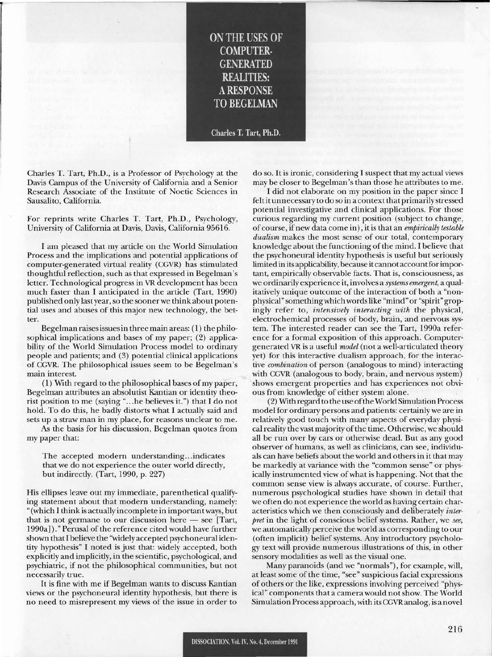## **ON THE USES OF COMPUTER· GENERATED REALITIES:** ARESPONSE **TOBEGELMAN**

Charles T. Tart, Ph.D.

Charles T. Tart, Ph.D., is a Professor of Psychology at the Davis Campus of the University of California and a Senior Research Associate of the Institute of Noetic Sciences in Sausalito, California.

For reprints write Charles T. Tart, Ph.D., Psychology, University of California at Davis, Davis, California 95616.

I am pleased that my article on the World Simulation Process and the implications and potential applications of computer-generated virtual reality (CGVR) has stimulated thoughtful reflection, such as that expressed in Begelman's letter. Technological progress in VR development has been much faster than I anticipated in the article (Tart, 1990) published only last year, so the sooner we think about potential uses and abuses of this major new technology, the better.

Begelman raisesissuesin three main areas: (1) the philosophical implications and bases of my paper; (2) applicability of the World Simulation Process model to ordinary people and patients; and (3) potential clinical applications of CGVR. The philosophical issues seem to be Begelman's main interest.

 $(1)$  With regard to the philosophical bases of my paper, Begelman attributes an absolutist Kantian or identity theorist position to me (saying "...he believes it.") that I do not hold. To do this, he badly distorts what I actually said and sets up a straw man in my place, for reasons unclear to me.

As the basis for his discussion, Begelman quotes from my paper that:

The accepted modern understanding...indicates that we do not experience the outer world directly, but indirectly. (Tart, 1990, p. 227)

His ellipses leave out my immediate, parenthetical qualifying statement about that modern understanding, namely: "(which I think is actually incomplete in importantways, but that is not germane to our discussion here  $-$  see [Tart, 1990a])." Perusal of the reference cited would have further shown that I believe the "widely accepted psychoneural identity hypothesis" I noted is just that: widely accepted, both explicitly and implicitly, in the scientific, psychological, and psychiatric, if not the philosophical communities, but not necessarily true.

It is fine with me if Begelman wants to discuss Kantian views or the psychoneural identity hypothesis, but there is no need to misrepresent my views of the issue in order to do so. It is ironic, considering I suspect that my actual views may be closer to Begelman's than those he attributes to me.

I did not elaborate on my position in the paper since I felt it unnecessary to do so in a context that primarilystressed potential investigative and clinical applications. For those curious regarding my current position (subject to change, of course, if new data come in), it is that an *empirically testable dualism* makes the most sense of our total, contemporary knowledge about the functioning of the mind. I believe that the psychoneural identity hypothesis is useful but seriously limited in its applicability, because itcannotaccountforimportant, empirically observable facts. That is, consciousness, as we ordinarily experience it, involves a *systems emergent,* a qualitatively unique outcome of the interaction of both a "nonphysical" somethingwhich wordslike "mind" or "spirit" gropingly refer to, *intensively interacting with* the physical, electrochemical processes of body, brain, and nervous system. The interested reader can see the Tart, 1990a reference for a formal exposition of this approach. Computergenerated VR is a useful *model* (not a well-articulated theory yet) for this interactive dualism approach, for the interactive *combination* of person (analogous to mind) interacting with CGVR (analogous to body, brain, and nervous system) shows emergent properties and has experiences not obvious from knowledge of either system alone.

(2) With regard to the use oftheWorld Simulation Process model for ordinary persons and patients: certainly we are in relatively good touch with many aspects of everyday physical reality the vast majority of the time. Otherwise, we should all be run over by cars or otherwise dead. But as any good observer of humans, as well as clinicians, can see, individuals can have beliefs about the world and others in it that may be markedly at variance with the "common sense" or physically instrumented view of what is happening. Not that the common sense view is always accurate, of course. Further, numerous psychological studies have shown in detail that we often do not experience the world as having certain characteristics which we then consciously and deliberately *interpret* in the light of conscious belief systems. Rather, we *see,* we automatically perceive the world as corresponding to our (often implicit) belief systems. Any introductory psychology text will provide numerous illustrations of this, in other sensory modalities as well as the visual one.

Many paranoids (and we "normals"), for example, will, at least some of the time, "see" suspicious facial expressions of others or the like, expressions involving perceived "physical" components that a camera would not show. The World Simulation Process approach, with its CGVRanalog, is a novel